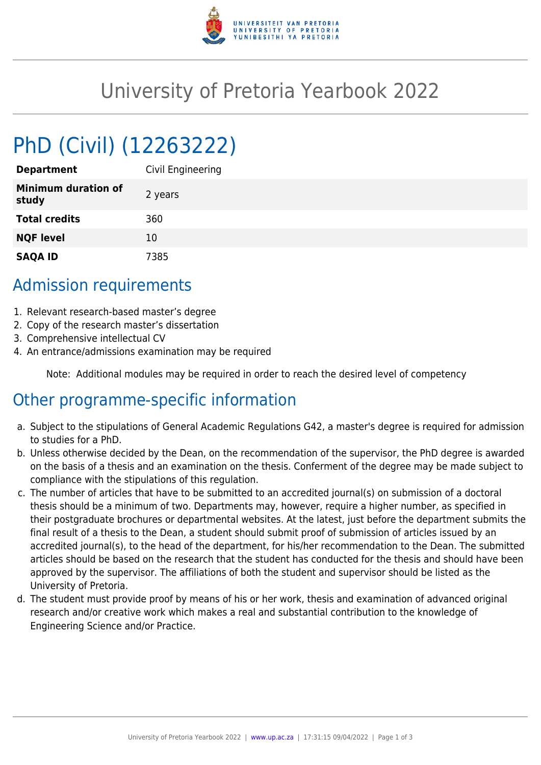

## University of Pretoria Yearbook 2022

# PhD (Civil) (12263222)

| <b>Department</b>                   | Civil Engineering |
|-------------------------------------|-------------------|
| <b>Minimum duration of</b><br>study | 2 years           |
| <b>Total credits</b>                | 360               |
| <b>NQF level</b>                    | 10                |
| <b>SAQA ID</b>                      | 7385              |

#### Admission requirements

- 1. Relevant research-based master's degree
- 2. Copy of the research master's dissertation
- 3. Comprehensive intellectual CV
- 4. An entrance/admissions examination may be required

Note: Additional modules may be required in order to reach the desired level of competency

### Other programme-specific information

- a. Subject to the stipulations of General Academic Regulations G42, a master's degree is required for admission to studies for a PhD.
- b. Unless otherwise decided by the Dean, on the recommendation of the supervisor, the PhD degree is awarded on the basis of a thesis and an examination on the thesis. Conferment of the degree may be made subject to compliance with the stipulations of this regulation.
- c. The number of articles that have to be submitted to an accredited journal(s) on submission of a doctoral thesis should be a minimum of two. Departments may, however, require a higher number, as specified in their postgraduate brochures or departmental websites. At the latest, just before the department submits the final result of a thesis to the Dean, a student should submit proof of submission of articles issued by an accredited journal(s), to the head of the department, for his/her recommendation to the Dean. The submitted articles should be based on the research that the student has conducted for the thesis and should have been approved by the supervisor. The affiliations of both the student and supervisor should be listed as the University of Pretoria.
- d. The student must provide proof by means of his or her work, thesis and examination of advanced original research and/or creative work which makes a real and substantial contribution to the knowledge of Engineering Science and/or Practice.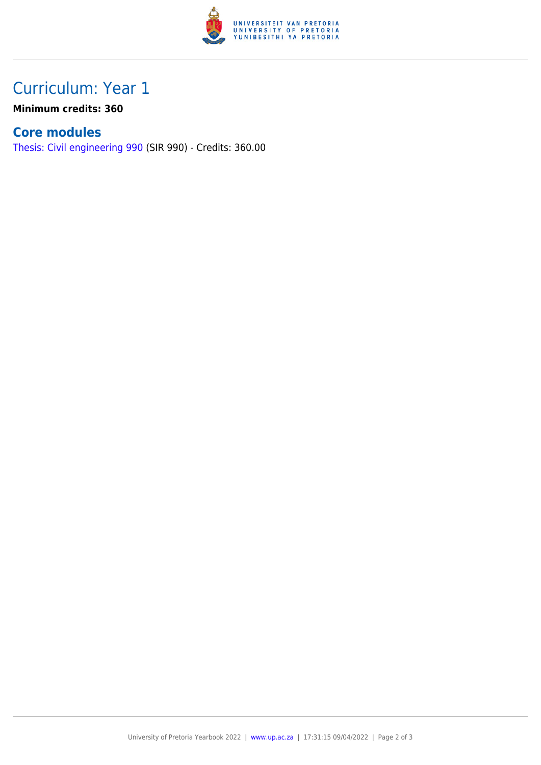

## Curriculum: Year 1

**Minimum credits: 360**

#### **Core modules**

[Thesis: Civil engineering 990](https://www.up.ac.za/yearbooks/2022/modules/view/SIR 990) (SIR 990) - Credits: 360.00